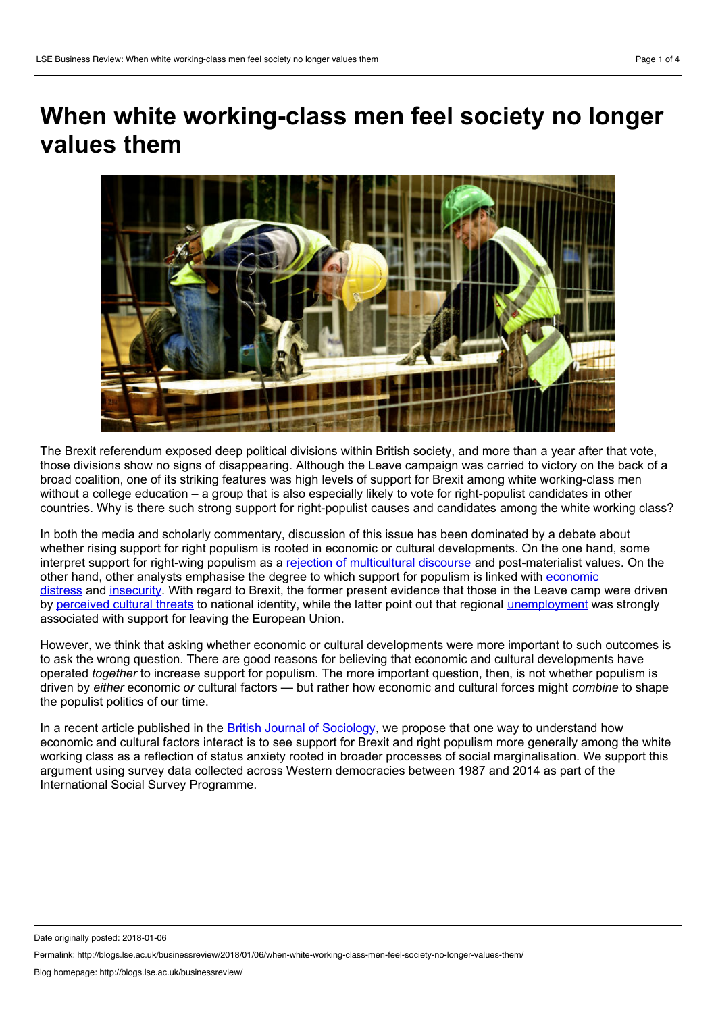# **When white working-class men feel society no longer values them**



The Brexit referendum exposed deep political divisions within British society, and more than a year after that vote, those divisions show no signs of disappearing. Although the Leave campaign was carried to victory on the back of a broad coalition, one of its striking features was high levels of support for Brexit among white working-class men without a college education – a group that is also especially likely to vote for right-populist candidates in other countries. Why is there such strong support for right-populist causes and candidates among the white working class?

In both the media and scholarly commentary, discussion of this issue has been dominated by a debate about whether rising support for right populism is rooted in economic or cultural developments. On the one hand, some interpret support for right-wing populism as a rejection of [multicultural](https://www.vox.com/conversations/2017/3/27/15037232/trump-populist-appeal-culture-economy) discourse and post-materialist values. On the other hand, other analysts [emphasise](http://www.heliosherrera.com/populism.pdf) the degree to which support for populism is linked with economic distress and [insecurity](https://www.brookings.edu/bpea-articles/the-european-trust-crisis-and-the-rise-of-populism/). With regard to Brexit, the former present evidence that those in the Leave camp were driven by [perceived](https://www.vox.com/2016/6/23/12005814/brexit-eu-referendum-immigrants) cultural threats to national identity, while the latter point out that regional [unemployment](http://blogs.lse.ac.uk/brexit/2017/07/25/unemployment-reliance-on-factory-jobs-and-low-income-explain-brexit/) was strongly associated with support for leaving the European Union.

However, we think that asking whether economic or cultural developments were more important to such outcomes is to ask the wrong question. There are good reasons for believing that economic and cultural developments have operated *together* to increase support for populism. The more important question, then, is not whether populism is driven by *either* economic *or* cultural factors — but rather how economic and cultural forces might *combine* to shape the populist politics of our time.

In a recent article published in the British Journal of [Sociology](http://onlinelibrary.wiley.com/doi/10.1111/1468-4446.12319/abstract), we propose that one way to understand how economic and cultural factors interact is to see support for Brexit and right populism more generally among the white working class as a reflection of status anxiety rooted in broader processes of social marginalisation. We support this argument using survey data collected across Western democracies between 1987 and 2014 as part of the International Social Survey Programme.

Date originally posted: 2018-01-06

Permalink: http://blogs.lse.ac.uk/businessreview/2018/01/06/when-white-working-class-men-feel-society-no-longer-values-them/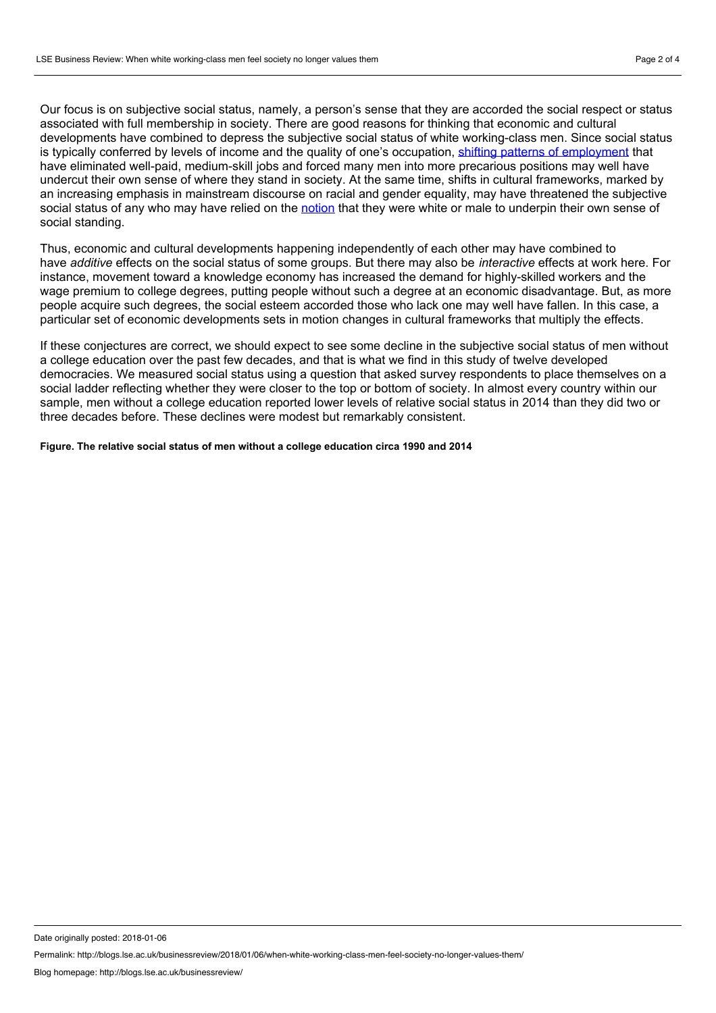Our focus is on subjective social status, namely, a person's sense that they are accorded the social respect or status associated with full membership in society. There are good reasons for thinking that economic and cultural developments have combined to depress the subjective social status of white working-class men. Since social status is typically conferred by levels of income and the quality of one's occupation, shifting patterns of [employment](http://cep.lse.ac.uk/pubs/download/dp1026.pdf) that have eliminated well-paid, medium-skill jobs and forced many men into more precarious positions may well have undercut their own sense of where they stand in society. At the same time, shifts in cultural frameworks, marked by an increasing emphasis in mainstream discourse on racial and gender equality, may have threatened the subjective social status of any who may have relied on the [notion](https://scholar.harvard.edu/lamont/files/m.lamont-v.molnar-the_study_of_boundaries.pdf) that they were white or male to underpin their own sense of social standing.

Thus, economic and cultural developments happening independently of each other may have combined to have *additive* effects on the social status of some groups. But there may also be *interactive* effects at work here. For instance, movement toward a knowledge economy has increased the demand for highly-skilled workers and the wage premium to college degrees, putting people without such a degree at an economic disadvantage. But, as more people acquire such degrees, the social esteem accorded those who lack one may wellhave fallen. In this case, a particular set of economic developments sets in motion changes in cultural frameworks that multiply the effects.

If these conjectures are correct, we should expect to see some decline in the subjective social status of men without a college education over the past few decades, and that is what we find in this study of twelve developed democracies. We measured social status using a question that asked survey respondents to place themselves on a social ladder reflecting whether they were closer to the top or bottom of society. In almost every country within our sample, men without a college education reported lower levels of relative social status in 2014 than they did two or three decades before. These declines were modest but remarkably consistent.

**Figure. The relative social status of men without a college education circa 1990 and 2014**

Date originally posted: 2018-01-06

Permalink: http://blogs.lse.ac.uk/businessreview/2018/01/06/when-white-working-class-men-feel-society-no-longer-values-them/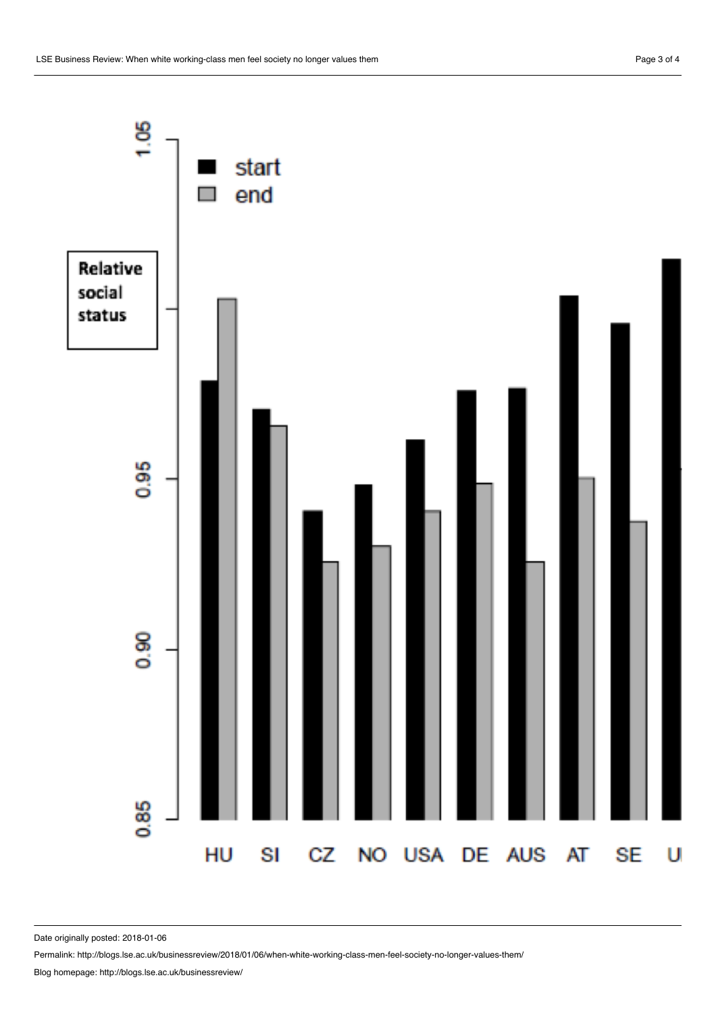

Date originally posted: 2018-01-06

Permalink: http://blogs.lse.ac.uk/businessreview/2018/01/06/when-white-working-class-men-feel-society-no-longer-values-them/